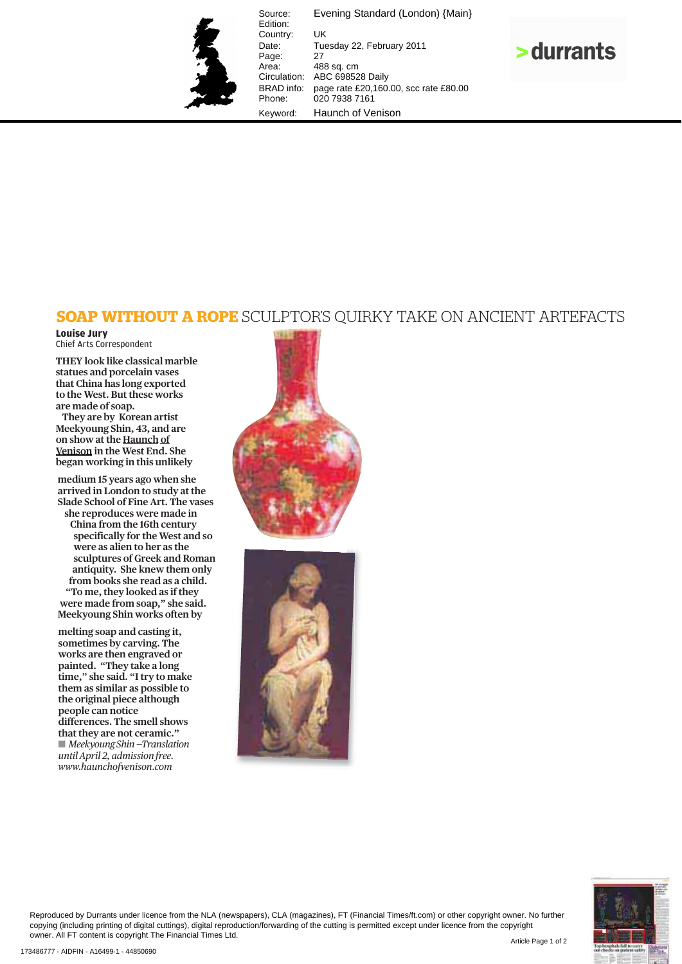

Source: Evening Standard (London) {Main} Edition: Country: UK<br>Date: Tue Tuesday 22, February 2011 Page:<br>Area: Area: 488 sq. cm<br>Circulation: ABC 69852 ABC 698528 Daily BRAD info: page rate £20,160.00, scc rate £80.00 Phone: 020 7938 7161 Keyword: Haunch of Venison



## **SOAP WITHOUT A ROPE** SCULPTOR'S QUIRKY TAKE ON ANCIENT ARTEFACTS

## **Louise Jury**  Chief Arts Correspondent

**THEY look like classical marble statues and porcelain vases that China has long exported to the West. But these works are made of soap.**

**They are by Korean artist Meekyoung Shin, 43, and are on show at the Haunch of Venison in the West End. She began working in this unlikely** 

**medium 15 years ago when she arrived in London to study at the Slade School of Fine Art. The vases she reproduces were made in China from the 16th century specifically for the West and so were as alien to her as the sculptures of Greek and Roman antiquity. She knew them only from books she read as a child. "To me, they looked as if they were made from soap," she said. Meekyoung Shin works often by** 

**melting soap and casting it, sometimes by carving. The works are then engraved or painted. "They take a long time," she said. "I try to make them as similar as possible to the original piece although people can notice differences. The smell shows that they are not ceramic." Meekyoung Shin –Translation** *until April 2, admission free. www.haunchofvenison.com*







Reproduced by Durrants under licence from the NLA (newspapers), CLA (magazines), FT (Financial Times/ft.com) or other copyright owner. No further copying (including printing of digital cuttings), digital reproduction/forwarding of the cutting is permitted except under licence from the copyright owner. All FT content is copyright The Financial Times Ltd.